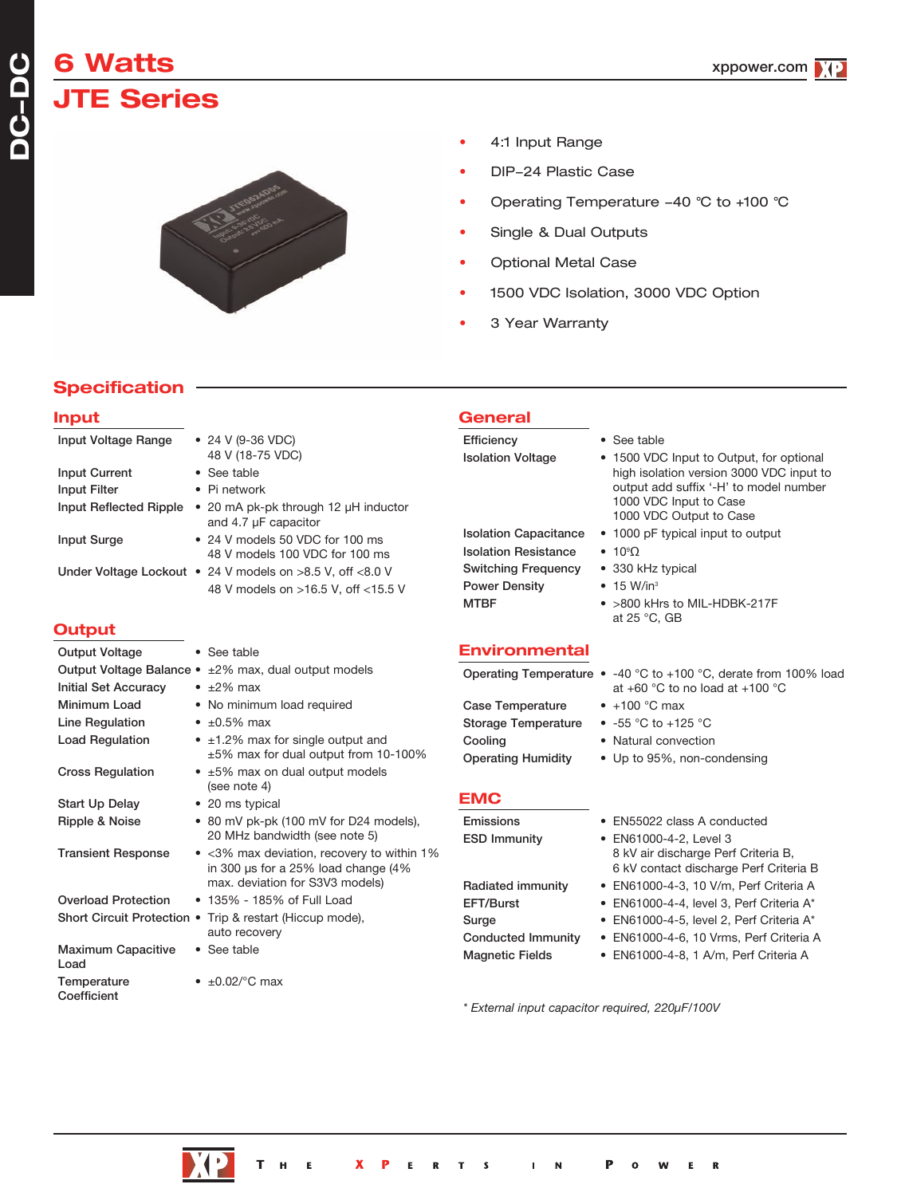# **6 Watts JTE Series**

**DC-**

**DC**



- 4:1 Input Range
- DIP-24 Plastic Case
- Operating Temperature 40 °C to +100 °C
- Single & Dual Outputs
- Optional Metal Case
- 1500 VDC Isolation, 3000 VDC Option
- 3 Year Warranty

# **Specification**

#### **Input** Input Voltage Range • 24 V (9-36 VDC) 48 V (18-75 VDC) Input Current • See table Input Filter • Pi network Input Reflected Ripple • 20 mA pk-pk through 12 µH inductor and 4.7 µF capacitor Input Surge • 24 V models 50 VDC for 100 ms 48 V models 100 VDC for 100 ms Under Voltage Lockout • 24 V models on >8.5 V, off <8.0 V 48 V models on >16.5 V, off <15.5 V **Output** Output Voltage • See table Output Voltage Balance • ±2% max, dual output models Initial Set Accuracy • ±2% max Minimum Load • No minimum load required Line Regulation  $\cdot$  ±0.5% max Load Regulation  $\bullet$   $\pm 1.2\%$  max for single output and ±5% max for dual output from 10-100% Cross Regulation • ±5% max on dual output models (see note 4) Start Up Delay • 20 ms typical Ripple & Noise • 80 mV pk-pk (100 mV for D24 models), 20 MHz bandwidth (see note 5) Transient Response • <3% max deviation, recovery to within 1% in 300 µs for a 25% load change (4% max. deviation for S3V3 models) **General** Efficiency • See table Isolation Voltage • 1500 VDC Input to Output, for optional high isolation version 3000 VDC input to output add suffix '-H' to model number 1000 VDC Input to Case 1000 VDC Output to Case Isolation Capacitance • 1000 pF typical input to output **Isolation Resistance**  $• 10°$ Switching Frequency • 330 kHz typical Power Density • 15 W/in<sup>3</sup> MTBF • >800 kHrs to MIL-HDBK-217F at 25 °C, GB **Environmental** Operating Temperature • -40 °C to +100 °C, derate from 100% load at +60 °C to no load at +100 °C Case Temperature • +100 °C max Storage Temperature • -55 °C to +125 °C Cooling • Natural convection Operating Humidity • Up to 95%, non-condensing **EMC** Emissions • EN55022 class A conducted ESD Immunity • EN61000-4-2, Level 3 Radiated immunity • EN61000-4-3, 10 V/m, Perf Criteria A

Overload Protection • 135% - 185% of Full Load Short Circuit Protection • Trip & restart (Hiccup mode), Maximum Capacitive • See table Load Temperature  $\bullet$   $\pm 0.02$ /°C max **Coefficient** 

- 
- 
- 8 kV air discharge Perf Criteria B, 6 kV contact discharge Perf Criteria B EFT/Burst • EN61000-4-4, level 3, Perf Criteria A\* Surge • EN61000-4-5, level 2, Perf Criteria A\*
- Conducted Immunity EN61000-4-6, 10 Vrms, Perf Criteria A

R

Magnetic Fields • EN61000-4-8, 1 A/m, Perf Criteria A

*\* External input capacitor required, 220µF/100V*



auto recovery